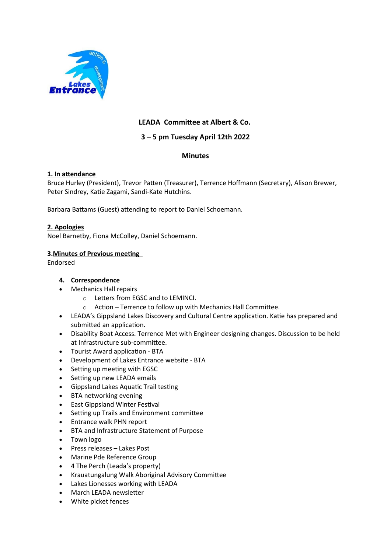

# **LEADA Committee at Albert & Co.**

# **3 – 5 pm Tuesday April 12th 2022**

### **Minutes**

### **1. In attendance**

Bruce Hurley (President), Trevor Patten (Treasurer), Terrence Hoffmann (Secretary), Alison Brewer, Peter Sindrey, Katie Zagami, Sandi-Kate Hutchins.

Barbara Battams (Guest) attending to report to Daniel Schoemann.

### **2. Apologies**

Noel Barnetby, Fiona McColley, Daniel Schoemann.

#### **3.Minutes of Previous meeting**

Endorsed

### **4. Correspondence**

- Mechanics Hall repairs
	- o Letters from EGSC and to LEMINCI.
	- o Action Terrence to follow up with Mechanics Hall Committee.
- LEADA's Gippsland Lakes Discovery and Cultural Centre application. Katie has prepared and submitted an application.
- Disability Boat Access. Terrence Met with Engineer designing changes. Discussion to be held at Infrastructure sub-committee.
- Tourist Award application BTA
- Development of Lakes Entrance website BTA
- Setting up meeting with EGSC
- Setting up new LEADA emails
- Gippsland Lakes Aquatic Trail testing
- BTA networking evening
- East Gippsland Winter Festival
- Setting up Trails and Environment committee
- Entrance walk PHN report
- BTA and Infrastructure Statement of Purpose
- Town logo
- Press releases Lakes Post
- Marine Pde Reference Group
- 4 The Perch (Leada's property)
- Krauatungalung Walk Aboriginal Advisory Committee
- Lakes Lionesses working with LEADA
- March LEADA newsletter
- White picket fences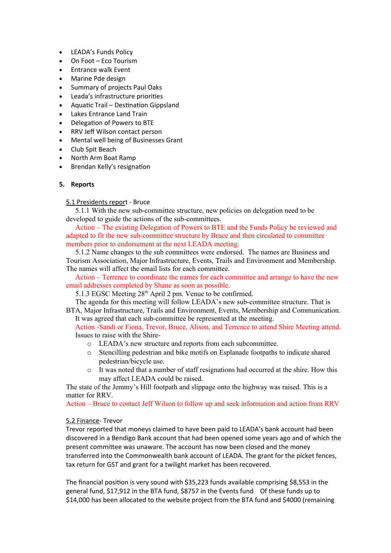- LEADA's Funds Policy
- On Foot Eco Tourism
- Entrance walk Event
- Marine Pde design
- Summary of projects Paul Oaks
- Leada's infrastructure priorities
- Aquatic Trail Destination Gippsland
- Lakes Entrance Land Train
- Delegation of Powers to BTE
- RRV Jeff Wilson contact person
- Mental well being of Businesses Grant
- Club Spit Beach
- North Arm Boat Ramp
- Brendan Kelly's resignation

### **5. Reports**

### 5.1 Presidents report - Bruce

5.1.1 With the new sub-committee structure, new policies on delegation need to be developed to guide the actions of the sub-committees.

Action – The existing Delegation of Powers to BTE and the Funds Policy be reviewed and adapted to fit the new sub-committee structure by Bruce and then circulated to committee members prior to endorsement at the next LEADA meeting.

5.1.2 Name changes to the sub committees were endorsed. The names are Business and Tourism Association, Major Infrastructure, Events, Trails and Environment and Membership. The names will affect the email lists for each committee.

Action – Terrence to coordinate the names for each committee and arrange to have the new email addresses completed by Shane as soon as possible.

5.1.3 EGSC Meeting  $28<sup>th</sup>$  April 2 pm. Venue to be confirmed.

The agenda for this meeting will follow LEADA's new sub-committee structure. That is BTA, Major Infrastructure, Trails and Environment, Events, Membership and Communication.

It was agreed that each sub-committee be represented at the meeting.

Action -Sandi or Fiona, Trevor, Bruce, Alison, and Terrence to attend Shire Meeting attend. Issues to raise with the Shire-

- o LEADA's new structure and reports from each subcommittee.
- o Stencilling pedestrian and bike motifs on Esplanade footpaths to indicate shared pedestrian/bicycle use.
- o It was noted that a number of staff resignations had occurred at the shire. How this may affect LEADA could be raised.

The state of the Jemmy's Hill footpath and slippage onto the highway was raised. This is a matter for RRV.

Action – Bruce to contact Jeff Wilson to follow up and seek information and action from RRV

### 5.2 Finance- Trevor

Trevor reported that moneys claimed to have been paid to LEADA's bank account had been discovered in a Bendigo Bank account that had been opened some years ago and of which the present committee was unaware. The account has now been closed and the money transferred into the Commonwealth bank account of LEADA. The grant for the picket fences, tax return for GST and grant for a twilight market has been recovered.

The financial position is very sound with \$35,223 funds available comprising \$8,553 in the general fund, \$17,912 in the BTA fund, \$8757 in the Events fund Of these funds up to \$14,000 has been allocated to the website project from the BTA fund and \$4000 (remaining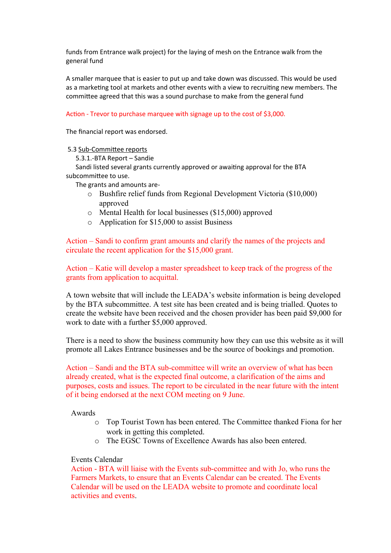funds from Entrance walk project) for the laying of mesh on the Entrance walk from the general fund

A smaller marquee that is easier to put up and take down was discussed. This would be used as a marketing tool at markets and other events with a view to recruiting new members. The committee agreed that this was a sound purchase to make from the general fund

#### Action - Trevor to purchase marquee with signage up to the cost of \$3,000.

The financial report was endorsed.

#### 5.3 Sub-Committee reports

5.3.1.-BTA Report – Sandie

Sandi listed several grants currently approved or awaiting approval for the BTA subcommittee to use.

The grants and amounts are-

- o Bushfire relief funds from Regional Development Victoria (\$10,000) approved
- o Mental Health for local businesses (\$15,000) approved
- o Application for \$15,000 to assist Business

Action – Sandi to confirm grant amounts and clarify the names of the projects and circulate the recent application for the \$15,000 grant.

Action – Katie will develop a master spreadsheet to keep track of the progress of the grants from application to acquittal.

A town website that will include the LEADA's website information is being developed by the BTA subcommittee. A test site has been created and is being trialled. Quotes to create the website have been received and the chosen provider has been paid \$9,000 for work to date with a further \$5,000 approved.

There is a need to show the business community how they can use this website as it will promote all Lakes Entrance businesses and be the source of bookings and promotion.

Action – Sandi and the BTA sub-committee will write an overview of what has been already created, what is the expected final outcome, a clarification of the aims and purposes, costs and issues. The report to be circulated in the near future with the intent of it being endorsed at the next COM meeting on 9 June.

Awards

- o Top Tourist Town has been entered. The Committee thanked Fiona for her work in getting this completed.
- o The EGSC Towns of Excellence Awards has also been entered.

### Events Calendar

Action - BTA will liaise with the Events sub-committee and with Jo, who runs the Farmers Markets, to ensure that an Events Calendar can be created. The Events Calendar will be used on the LEADA website to promote and coordinate local activities and events.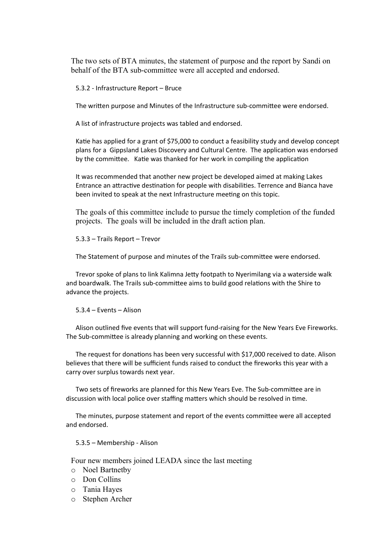The two sets of BTA minutes, the statement of purpose and the report by Sandi on behalf of the BTA sub-committee were all accepted and endorsed.

5.3.2 - Infrastructure Report – Bruce

The written purpose and Minutes of the Infrastructure sub-committee were endorsed.

A list of infrastructure projects was tabled and endorsed.

Katie has applied for a grant of \$75,000 to conduct a feasibility study and develop concept plans for a Gippsland Lakes Discovery and Cultural Centre. The application was endorsed by the committee. Katie was thanked for her work in compiling the application

It was recommended that another new project be developed aimed at making Lakes Entrance an attractive destination for people with disabilities. Terrence and Bianca have been invited to speak at the next Infrastructure meeting on this topic.

The goals of this committee include to pursue the timely completion of the funded projects. The goals will be included in the draft action plan.

5.3.3 – Trails Report – Trevor

The Statement of purpose and minutes of the Trails sub-committee were endorsed.

Trevor spoke of plans to link Kalimna Jetty footpath to Nyerimilang via a waterside walk and boardwalk. The Trails sub-committee aims to build good relations with the Shire to advance the projects.

5.3.4 – Events – Alison

Alison outlined five events that will support fund-raising for the New Years Eve Fireworks. The Sub-committee is already planning and working on these events.

The request for donations has been very successful with \$17,000 received to date. Alison believes that there will be sufficient funds raised to conduct the fireworks this year with a carry over surplus towards next year.

Two sets of fireworks are planned for this New Years Eve. The Sub-committee are in discussion with local police over staffing matters which should be resolved in time.

The minutes, purpose statement and report of the events committee were all accepted and endorsed.

5.3.5 – Membership - Alison

Four new members joined LEADA since the last meeting

- o Noel Bartnetby
- o Don Collins
- o Tania Hayes
- o Stephen Archer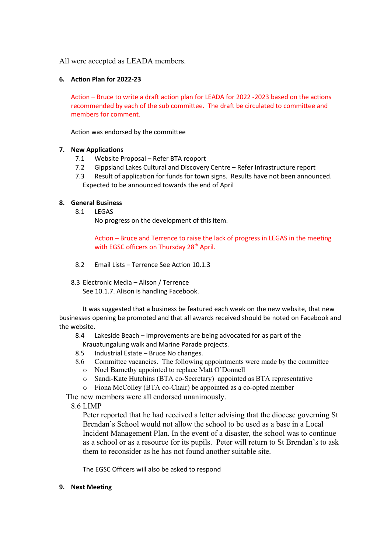All were accepted as LEADA members.

## **6. Action Plan for 2022-23**

Action – Bruce to write a draft action plan for LEADA for 2022 -2023 based on the actions recommended by each of the sub committee. The draft be circulated to committee and members for comment.

Action was endorsed by the committee

### **7. New Applications**

- 7.1 Website Proposal Refer BTA reoport
- 7.2 Gippsland Lakes Cultural and Discovery Centre Refer Infrastructure report
- 7.3 Result of application for funds for town signs. Results have not been announced. Expected to be announced towards the end of April

### **8. General Business**

8.1 LEGAS

No progress on the development of this item.

Action – Bruce and Terrence to raise the lack of progress in LEGAS in the meeting with EGSC officers on Thursday 28<sup>th</sup> April.

- 8.2 Email Lists Terrence See Action 10.1.3
- 8.3 Electronic Media Alison / Terrence

See 10.1.7. Alison is handling Facebook.

It was suggested that a business be featured each week on the new website, that new businesses opening be promoted and that all awards received should be noted on Facebook and the website.

8.4 Lakeside Beach – Improvements are being advocated for as part of the Krauatungalung walk and Marine Parade projects.

- 8.5 Industrial Estate Bruce No changes.
- 8.6 Committee vacancies. The following appointments were made by the committee
	- o Noel Barnetby appointed to replace Matt O'Donnell
	- o Sandi-Kate Hutchins (BTA co-Secretary) appointed as BTA representative
	- o Fiona McColley (BTA co-Chair) be appointed as a co-opted member

The new members were all endorsed unanimously.

8.6 LIMP

Peter reported that he had received a letter advising that the diocese governing St Brendan's School would not allow the school to be used as a base in a Local Incident Management Plan. In the event of a disaster, the school was to continue as a school or as a resource for its pupils. Peter will return to St Brendan's to ask them to reconsider as he has not found another suitable site.

The EGSC Officers will also be asked to respond

### **9. Next Meeting**